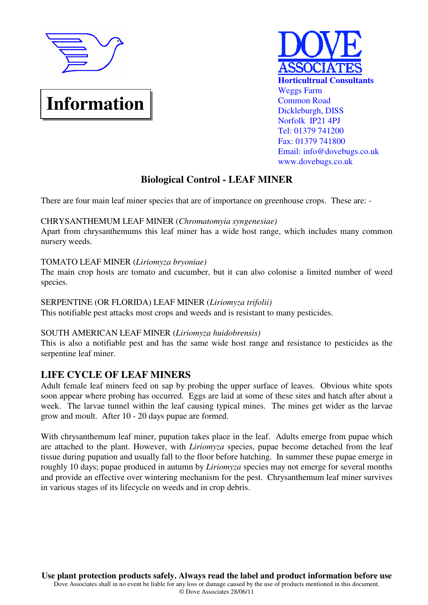

# **Information**



# **Biological Control - LEAF MINER**

There are four main leaf miner species that are of importance on greenhouse crops. These are: -

#### CHRYSANTHEMUM LEAF MINER (*Chromatomyia syngenesiae)*

Apart from chrysanthemums this leaf miner has a wide host range, which includes many common nursery weeds.

## TOMATO LEAF MINER (*Liriomyza bryoniae)*

The main crop hosts are tomato and cucumber, but it can also colonise a limited number of weed species.

### SERPENTINE (OR FLORIDA) LEAF MINER (*Liriomyza trifolii)*

This notifiable pest attacks most crops and weeds and is resistant to many pesticides.

#### SOUTH AMERICAN LEAF MINER (*Liriomyza huidobrensis)*

This is also a notifiable pest and has the same wide host range and resistance to pesticides as the serpentine leaf miner.

## **LIFE CYCLE OF LEAF MINERS**

Adult female leaf miners feed on sap by probing the upper surface of leaves. Obvious white spots soon appear where probing has occurred. Eggs are laid at some of these sites and hatch after about a week. The larvae tunnel within the leaf causing typical mines. The mines get wider as the larvae grow and moult. After 10 - 20 days pupae are formed.

With chrysanthemum leaf miner, pupation takes place in the leaf. Adults emerge from pupae which are attached to the plant. However, with *Liriomyza* species, pupae become detached from the leaf tissue during pupation and usually fall to the floor before hatching. In summer these pupae emerge in roughly 10 days; pupae produced in autumn by *Liriomyza* species may not emerge for several months and provide an effective over wintering mechanism for the pest. Chrysanthemum leaf miner survives in various stages of its lifecycle on weeds and in crop debris.